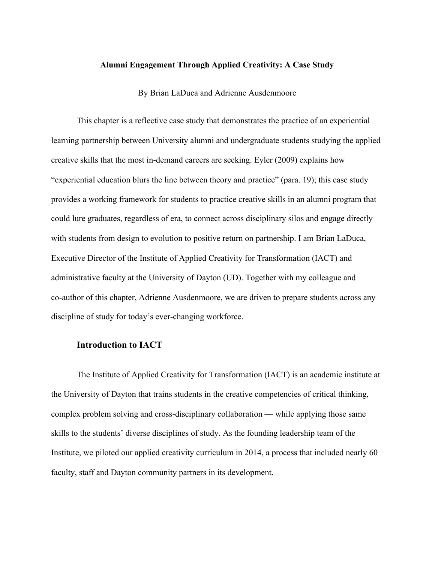#### **Alumni Engagement Through Applied Creativity: A Case Study**

By Brian LaDuca and Adrienne Ausdenmoore

This chapter is a reflective case study that demonstrates the practice of an experiential learning partnership between University alumni and undergraduate students studying the applied creative skills that the most in-demand careers are seeking. Eyler (2009) explains how "experiential education blurs the line between theory and practice" (para. 19); this case study provides a working framework for students to practice creative skills in an alumni program that could lure graduates, regardless of era, to connect across disciplinary silos and engage directly with students from design to evolution to positive return on partnership. I am Brian LaDuca, Executive Director of the Institute of Applied Creativity for Transformation (IACT) and administrative faculty at the University of Dayton (UD). Together with my colleague and co-author of this chapter, Adrienne Ausdenmoore, we are driven to prepare students across any discipline of study for today's ever-changing workforce.

## **Introduction to IACT**

The Institute of Applied Creativity for Transformation (IACT) is an academic institute at the University of Dayton that trains students in the creative competencies of critical thinking, complex problem solving and cross-disciplinary collaboration — while applying those same skills to the students' diverse disciplines of study. As the founding leadership team of the Institute, we piloted our applied creativity curriculum in 2014, a process that included nearly 60 faculty, staff and Dayton community partners in its development.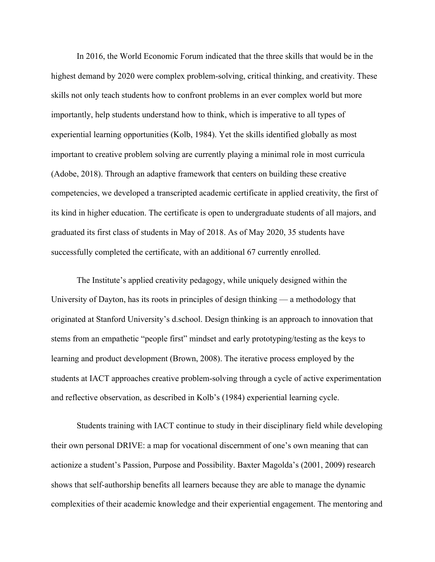In 2016, the World Economic Forum indicated that the three skills that would be in the highest demand by 2020 were complex problem-solving, critical thinking, and creativity. These skills not only teach students how to confront problems in an ever complex world but more importantly, help students understand how to think, which is imperative to all types of experiential learning opportunities (Kolb, 1984). Yet the skills identified globally as most important to creative problem solving are currently playing a minimal role in most curricula (Adobe, 2018). Through an adaptive framework that centers on building these creative competencies, we developed a transcripted academic certificate in applied creativity, the first of its kind in higher education. The certificate is open to undergraduate students of all majors, and graduated its first class of students in May of 2018. As of May 2020, 35 students have successfully completed the certificate, with an additional 67 currently enrolled.

The Institute's applied creativity pedagogy, while uniquely designed within the University of Dayton, has its roots in principles of design thinking — a methodology that originated at Stanford University's d.school. Design thinking is an approach to innovation that stems from an empathetic "people first" mindset and early prototyping/testing as the keys to learning and product development (Brown, 2008). The iterative process employed by the students at IACT approaches creative problem-solving through a cycle of active experimentation and reflective observation, as described in Kolb's (1984) experiential learning cycle.

Students training with IACT continue to study in their disciplinary field while developing their own personal DRIVE: a map for vocational discernment of one's own meaning that can actionize a student's Passion, Purpose and Possibility. Baxter Magolda's (2001, 2009) research shows that self-authorship benefits all learners because they are able to manage the dynamic complexities of their academic knowledge and their experiential engagement. The mentoring and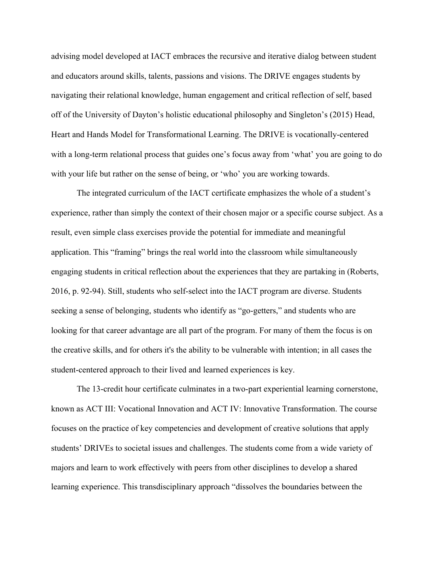advising model developed at IACT embraces the recursive and iterative dialog between student and educators around skills, talents, passions and visions. The DRIVE engages students by navigating their relational knowledge, human engagement and critical reflection of self, based off of the University of Dayton's holistic educational philosophy and Singleton's (2015) Head, Heart and Hands Model for Transformational Learning. The DRIVE is vocationally-centered with a long-term relational process that guides one's focus away from 'what' you are going to do with your life but rather on the sense of being, or 'who' you are working towards.

The integrated curriculum of the IACT certificate emphasizes the whole of a student's experience, rather than simply the context of their chosen major or a specific course subject. As a result, even simple class exercises provide the potential for immediate and meaningful application. This "framing" brings the real world into the classroom while simultaneously engaging students in critical reflection about the experiences that they are partaking in (Roberts, 2016, p. 92-94). Still, students who self-select into the IACT program are diverse. Students seeking a sense of belonging, students who identify as "go-getters," and students who are looking for that career advantage are all part of the program. For many of them the focus is on the creative skills, and for others it's the ability to be vulnerable with intention; in all cases the student-centered approach to their lived and learned experiences is key.

The 13-credit hour certificate culminates in a two-part experiential learning cornerstone, known as ACT III: Vocational Innovation and ACT IV: Innovative Transformation. The course focuses on the practice of key competencies and development of creative solutions that apply students' DRIVEs to societal issues and challenges. The students come from a wide variety of majors and learn to work effectively with peers from other disciplines to develop a shared learning experience. This transdisciplinary approach "dissolves the boundaries between the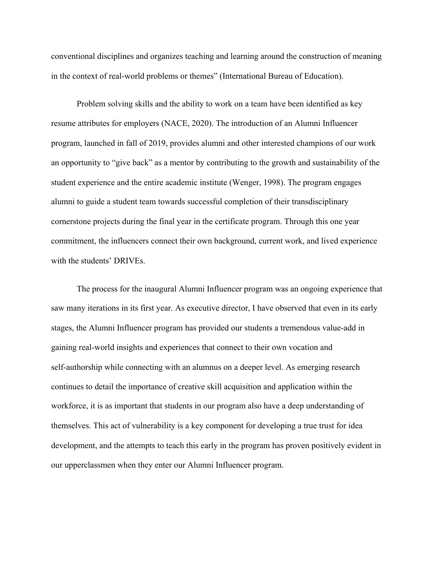conventional disciplines and organizes teaching and learning around the construction of meaning in the context of real-world problems or themes" (International Bureau of Education).

Problem solving skills and the ability to work on a team have been identified as key resume attributes for employers (NACE, 2020). The introduction of an Alumni Influencer program, launched in fall of 2019, provides alumni and other interested champions of our work an opportunity to "give back" as a mentor by contributing to the growth and sustainability of the student experience and the entire academic institute (Wenger, 1998). The program engages alumni to guide a student team towards successful completion of their transdisciplinary cornerstone projects during the final year in the certificate program. Through this one year commitment, the influencers connect their own background, current work, and lived experience with the students' DRIVEs.

The process for the inaugural Alumni Influencer program was an ongoing experience that saw many iterations in its first year. As executive director, I have observed that even in its early stages, the Alumni Influencer program has provided our students a tremendous value-add in gaining real-world insights and experiences that connect to their own vocation and self-authorship while connecting with an alumnus on a deeper level. As emerging research continues to detail the importance of creative skill acquisition and application within the workforce, it is as important that students in our program also have a deep understanding of themselves. This act of vulnerability is a key component for developing a true trust for idea development, and the attempts to teach this early in the program has proven positively evident in our upperclassmen when they enter our Alumni Influencer program.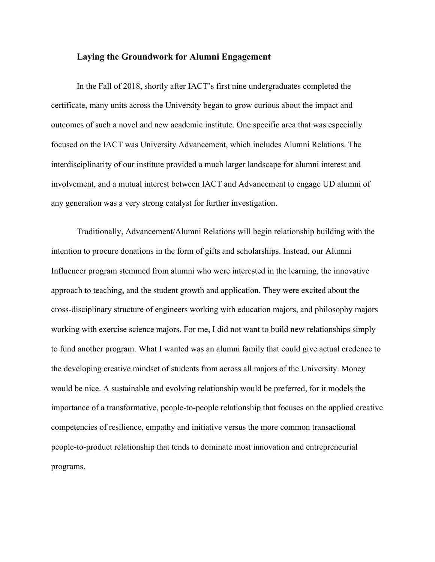## **Laying the Groundwork for Alumni Engagement**

In the Fall of 2018, shortly after IACT's first nine undergraduates completed the certificate, many units across the University began to grow curious about the impact and outcomes of such a novel and new academic institute. One specific area that was especially focused on the IACT was University Advancement, which includes Alumni Relations. The interdisciplinarity of our institute provided a much larger landscape for alumni interest and involvement, and a mutual interest between IACT and Advancement to engage UD alumni of any generation was a very strong catalyst for further investigation.

Traditionally, Advancement/Alumni Relations will begin relationship building with the intention to procure donations in the form of gifts and scholarships. Instead, our Alumni Influencer program stemmed from alumni who were interested in the learning, the innovative approach to teaching, and the student growth and application. They were excited about the cross-disciplinary structure of engineers working with education majors, and philosophy majors working with exercise science majors. For me, I did not want to build new relationships simply to fund another program. What I wanted was an alumni family that could give actual credence to the developing creative mindset of students from across all majors of the University. Money would be nice. A sustainable and evolving relationship would be preferred, for it models the importance of a transformative, people-to-people relationship that focuses on the applied creative competencies of resilience, empathy and initiative versus the more common transactional people-to-product relationship that tends to dominate most innovation and entrepreneurial programs.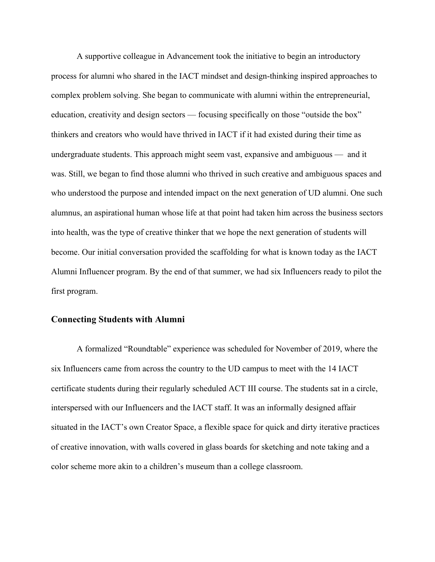A supportive colleague in Advancement took the initiative to begin an introductory process for alumni who shared in the IACT mindset and design-thinking inspired approaches to complex problem solving. She began to communicate with alumni within the entrepreneurial, education, creativity and design sectors — focusing specifically on those "outside the box" thinkers and creators who would have thrived in IACT if it had existed during their time as undergraduate students. This approach might seem vast, expansive and ambiguous — and it was. Still, we began to find those alumni who thrived in such creative and ambiguous spaces and who understood the purpose and intended impact on the next generation of UD alumni. One such alumnus, an aspirational human whose life at that point had taken him across the business sectors into health, was the type of creative thinker that we hope the next generation of students will become. Our initial conversation provided the scaffolding for what is known today as the IACT Alumni Influencer program. By the end of that summer, we had six Influencers ready to pilot the first program.

#### **Connecting Students with Alumni**

A formalized "Roundtable" experience was scheduled for November of 2019, where the six Influencers came from across the country to the UD campus to meet with the 14 IACT certificate students during their regularly scheduled ACT III course. The students sat in a circle, interspersed with our Influencers and the IACT staff. It was an informally designed affair situated in the IACT's own Creator Space, a flexible space for quick and dirty iterative practices of creative innovation, with walls covered in glass boards for sketching and note taking and a color scheme more akin to a children's museum than a college classroom.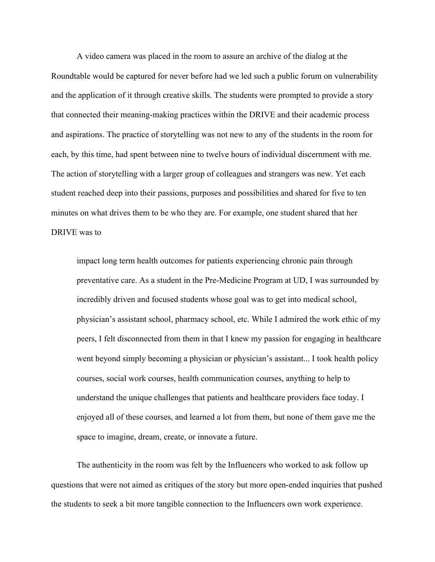A video camera was placed in the room to assure an archive of the dialog at the Roundtable would be captured for never before had we led such a public forum on vulnerability and the application of it through creative skills. The students were prompted to provide a story that connected their meaning-making practices within the DRIVE and their academic process and aspirations. The practice of storytelling was not new to any of the students in the room for each, by this time, had spent between nine to twelve hours of individual discernment with me. The action of storytelling with a larger group of colleagues and strangers was new. Yet each student reached deep into their passions, purposes and possibilities and shared for five to ten minutes on what drives them to be who they are. For example, one student shared that her DRIVE was to

impact long term health outcomes for patients experiencing chronic pain through preventative care. As a student in the Pre-Medicine Program at UD, I was surrounded by incredibly driven and focused students whose goal was to get into medical school, physician's assistant school, pharmacy school, etc. While I admired the work ethic of my peers, I felt disconnected from them in that I knew my passion for engaging in healthcare went beyond simply becoming a physician or physician's assistant... I took health policy courses, social work courses, health communication courses, anything to help to understand the unique challenges that patients and healthcare providers face today. I enjoyed all of these courses, and learned a lot from them, but none of them gave me the space to imagine, dream, create, or innovate a future.

The authenticity in the room was felt by the Influencers who worked to ask follow up questions that were not aimed as critiques of the story but more open-ended inquiries that pushed the students to seek a bit more tangible connection to the Influencers own work experience.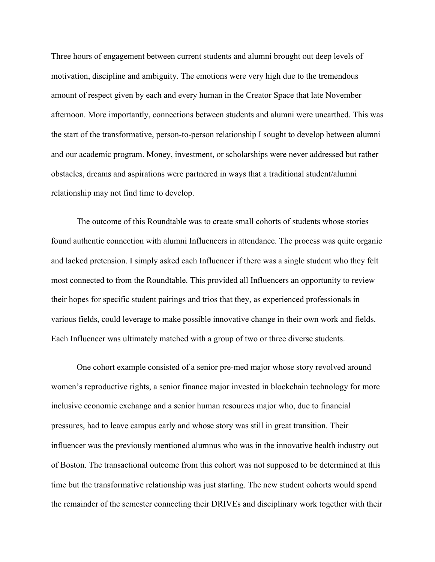Three hours of engagement between current students and alumni brought out deep levels of motivation, discipline and ambiguity. The emotions were very high due to the tremendous amount of respect given by each and every human in the Creator Space that late November afternoon. More importantly, connections between students and alumni were unearthed. This was the start of the transformative, person-to-person relationship I sought to develop between alumni and our academic program. Money, investment, or scholarships were never addressed but rather obstacles, dreams and aspirations were partnered in ways that a traditional student/alumni relationship may not find time to develop.

The outcome of this Roundtable was to create small cohorts of students whose stories found authentic connection with alumni Influencers in attendance. The process was quite organic and lacked pretension. I simply asked each Influencer if there was a single student who they felt most connected to from the Roundtable. This provided all Influencers an opportunity to review their hopes for specific student pairings and trios that they, as experienced professionals in various fields, could leverage to make possible innovative change in their own work and fields. Each Influencer was ultimately matched with a group of two or three diverse students.

One cohort example consisted of a senior pre-med major whose story revolved around women's reproductive rights, a senior finance major invested in blockchain technology for more inclusive economic exchange and a senior human resources major who, due to financial pressures, had to leave campus early and whose story was still in great transition. Their influencer was the previously mentioned alumnus who was in the innovative health industry out of Boston. The transactional outcome from this cohort was not supposed to be determined at this time but the transformative relationship was just starting. The new student cohorts would spend the remainder of the semester connecting their DRIVEs and disciplinary work together with their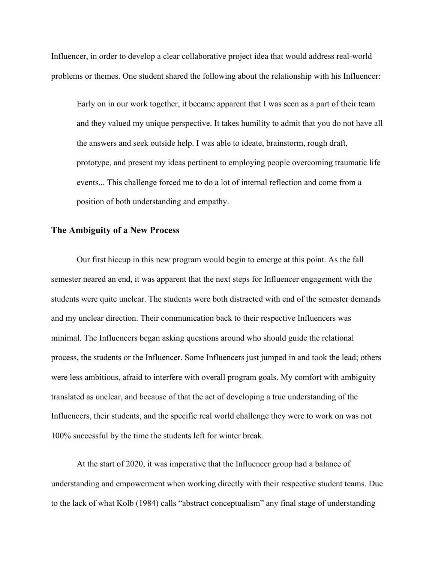Influencer, in order to develop a clear collaborative project idea that would address real-world problems or themes. One student shared the following about the relationship with his Influencer:

Early on in our work together, it became apparent that I was seen as a part of their team and they valued my unique perspective. It takes humility to admit that you do not have all the answers and seek outside help. I was able to ideate, brainstorm, rough draft, prototype, and present my ideas pertinent to employing people overcoming traumatic life events... This challenge forced me to do a lot of internal reflection and come from a position of both understanding and empathy.

# **The Ambiguity of a New Process**

Our first hiccup in this new program would begin to emerge at this point. As the fall semester neared an end, it was apparent that the next steps for Influencer engagement with the students were quite unclear. The students were both distracted with end of the semester demands and my unclear direction. Their communication back to their respective Influencers was minimal. The Influencers began asking questions around who should guide the relational process, the students or the Influencer. Some Influencers just jumped in and took the lead; others were less ambitious, afraid to interfere with overall program goals. My comfort with ambiguity translated as unclear, and because of that the act of developing a true understanding of the Influencers, their students, and the specific real world challenge they were to work on was not 100% successful by the time the students left for winter break.

At the start of 2020, it was imperative that the Influencer group had a balance of understanding and empowerment when working directly with their respective student teams. Due to the lack of what Kolb (1984) calls "abstract conceptualism" any final stage of understanding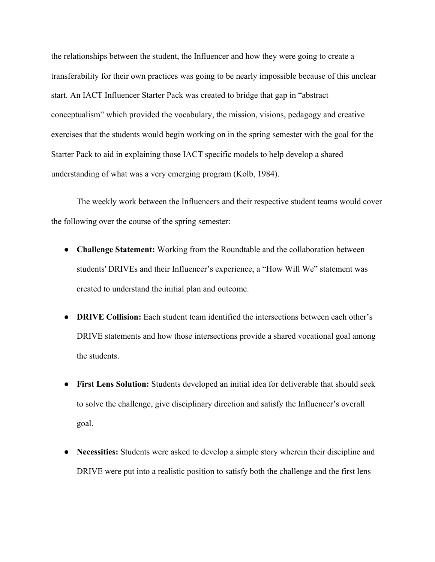the relationships between the student, the Influencer and how they were going to create a transferability for their own practices was going to be nearly impossible because of this unclear start. An IACT Influencer Starter Pack was created to bridge that gap in "abstract conceptualism" which provided the vocabulary, the mission, visions, pedagogy and creative exercises that the students would begin working on in the spring semester with the goal for the Starter Pack to aid in explaining those IACT specific models to help develop a shared understanding of what was a very emerging program (Kolb, 1984).

The weekly work between the Influencers and their respective student teams would cover the following over the course of the spring semester:

- **Challenge Statement:** Working from the Roundtable and the collaboration between students' DRIVEs and their Influencer's experience, a "How Will We" statement was created to understand the initial plan and outcome.
- **DRIVE Collision:** Each student team identified the intersections between each other's DRIVE statements and how those intersections provide a shared vocational goal among the students.
- **First Lens Solution:** Students developed an initial idea for deliverable that should seek to solve the challenge, give disciplinary direction and satisfy the Influencer's overall goal.
- **Necessities:** Students were asked to develop a simple story wherein their discipline and DRIVE were put into a realistic position to satisfy both the challenge and the first lens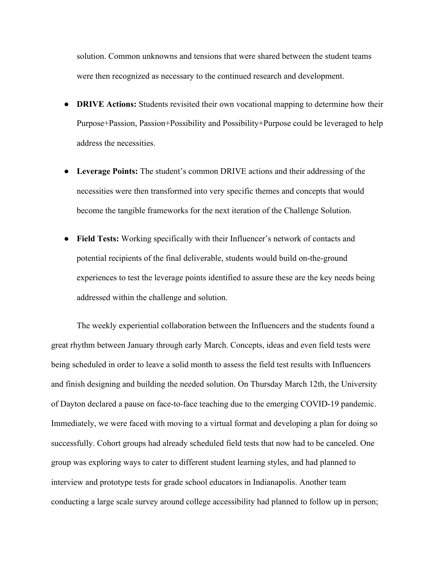solution. Common unknowns and tensions that were shared between the student teams were then recognized as necessary to the continued research and development.

- **DRIVE Actions:** Students revisited their own vocational mapping to determine how their Purpose+Passion, Passion+Possibility and Possibility+Purpose could be leveraged to help address the necessities.
- **Leverage Points:** The student's common DRIVE actions and their addressing of the necessities were then transformed into very specific themes and concepts that would become the tangible frameworks for the next iteration of the Challenge Solution.
- **Field Tests:** Working specifically with their Influencer's network of contacts and potential recipients of the final deliverable, students would build on-the-ground experiences to test the leverage points identified to assure these are the key needs being addressed within the challenge and solution.

The weekly experiential collaboration between the Influencers and the students found a great rhythm between January through early March. Concepts, ideas and even field tests were being scheduled in order to leave a solid month to assess the field test results with Influencers and finish designing and building the needed solution. On Thursday March 12th, the University of Dayton declared a pause on face-to-face teaching due to the emerging COVID-19 pandemic. Immediately, we were faced with moving to a virtual format and developing a plan for doing so successfully. Cohort groups had already scheduled field tests that now had to be canceled. One group was exploring ways to cater to different student learning styles, and had planned to interview and prototype tests for grade school educators in Indianapolis. Another team conducting a large scale survey around college accessibility had planned to follow up in person;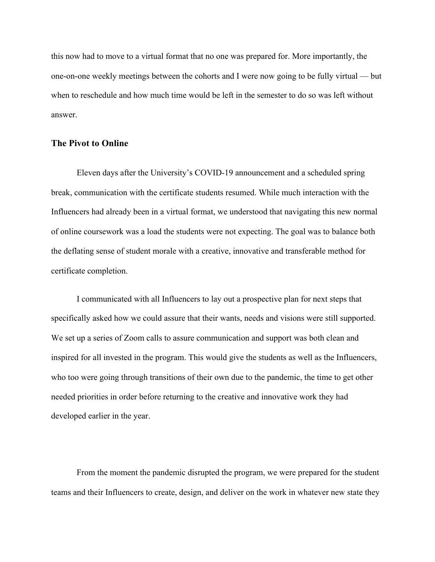this now had to move to a virtual format that no one was prepared for. More importantly, the one-on-one weekly meetings between the cohorts and I were now going to be fully virtual — but when to reschedule and how much time would be left in the semester to do so was left without answer.

## **The Pivot to Online**

Eleven days after the University's COVID-19 announcement and a scheduled spring break, communication with the certificate students resumed. While much interaction with the Influencers had already been in a virtual format, we understood that navigating this new normal of online coursework was a load the students were not expecting. The goal was to balance both the deflating sense of student morale with a creative, innovative and transferable method for certificate completion.

I communicated with all Influencers to lay out a prospective plan for next steps that specifically asked how we could assure that their wants, needs and visions were still supported. We set up a series of Zoom calls to assure communication and support was both clean and inspired for all invested in the program. This would give the students as well as the Influencers, who too were going through transitions of their own due to the pandemic, the time to get other needed priorities in order before returning to the creative and innovative work they had developed earlier in the year.

From the moment the pandemic disrupted the program, we were prepared for the student teams and their Influencers to create, design, and deliver on the work in whatever new state they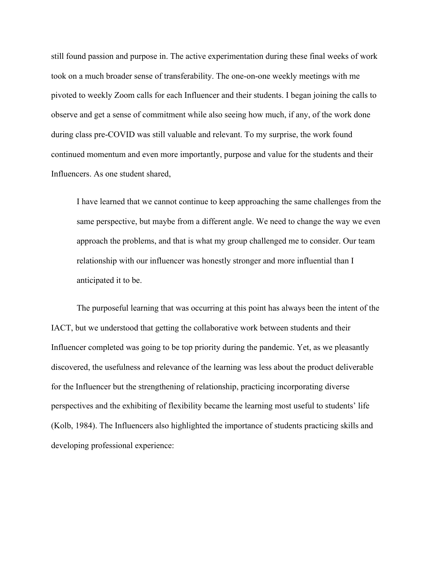still found passion and purpose in. The active experimentation during these final weeks of work took on a much broader sense of transferability. The one-on-one weekly meetings with me pivoted to weekly Zoom calls for each Influencer and their students. I began joining the calls to observe and get a sense of commitment while also seeing how much, if any, of the work done during class pre-COVID was still valuable and relevant. To my surprise, the work found continued momentum and even more importantly, purpose and value for the students and their Influencers. As one student shared,

I have learned that we cannot continue to keep approaching the same challenges from the same perspective, but maybe from a different angle. We need to change the way we even approach the problems, and that is what my group challenged me to consider. Our team relationship with our influencer was honestly stronger and more influential than I anticipated it to be.

The purposeful learning that was occurring at this point has always been the intent of the IACT, but we understood that getting the collaborative work between students and their Influencer completed was going to be top priority during the pandemic. Yet, as we pleasantly discovered, the usefulness and relevance of the learning was less about the product deliverable for the Influencer but the strengthening of relationship, practicing incorporating diverse perspectives and the exhibiting of flexibility became the learning most useful to students' life (Kolb, 1984). The Influencers also highlighted the importance of students practicing skills and developing professional experience: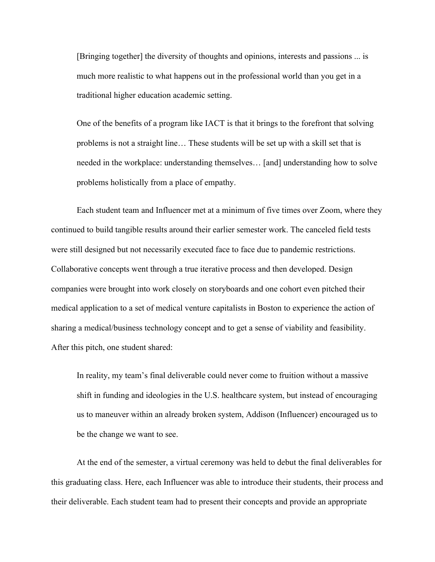[Bringing together] the diversity of thoughts and opinions, interests and passions ... is much more realistic to what happens out in the professional world than you get in a traditional higher education academic setting.

One of the benefits of a program like IACT is that it brings to the forefront that solving problems is not a straight line… These students will be set up with a skill set that is needed in the workplace: understanding themselves… [and] understanding how to solve problems holistically from a place of empathy.

Each student team and Influencer met at a minimum of five times over Zoom, where they continued to build tangible results around their earlier semester work. The canceled field tests were still designed but not necessarily executed face to face due to pandemic restrictions. Collaborative concepts went through a true iterative process and then developed. Design companies were brought into work closely on storyboards and one cohort even pitched their medical application to a set of medical venture capitalists in Boston to experience the action of sharing a medical/business technology concept and to get a sense of viability and feasibility. After this pitch, one student shared:

In reality, my team's final deliverable could never come to fruition without a massive shift in funding and ideologies in the U.S. healthcare system, but instead of encouraging us to maneuver within an already broken system, Addison (Influencer) encouraged us to be the change we want to see.

At the end of the semester, a virtual ceremony was held to debut the final deliverables for this graduating class. Here, each Influencer was able to introduce their students, their process and their deliverable. Each student team had to present their concepts and provide an appropriate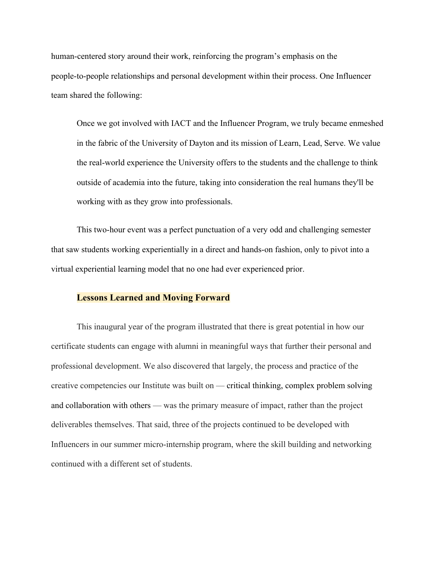human-centered story around their work, reinforcing the program's emphasis on the people-to-people relationships and personal development within their process. One Influencer team shared the following:

Once we got involved with IACT and the Influencer Program, we truly became enmeshed in the fabric of the University of Dayton and its mission of Learn, Lead, Serve. We value the real-world experience the University offers to the students and the challenge to think outside of academia into the future, taking into consideration the real humans they'll be working with as they grow into professionals.

This two-hour event was a perfect punctuation of a very odd and challenging semester that saw students working experientially in a direct and hands-on fashion, only to pivot into a virtual experiential learning model that no one had ever experienced prior.

# **Lessons Learned and Moving Forward**

This inaugural year of the program illustrated that there is great potential in how our certificate students can engage with alumni in meaningful ways that further their personal and professional development. We also discovered that largely, the process and practice of the creative competencies our Institute was built on — critical thinking, complex problem solving and collaboration with others — was the primary measure of impact, rather than the project deliverables themselves. That said, three of the projects continued to be developed with Influencers in our summer micro-internship program, where the skill building and networking continued with a different set of students.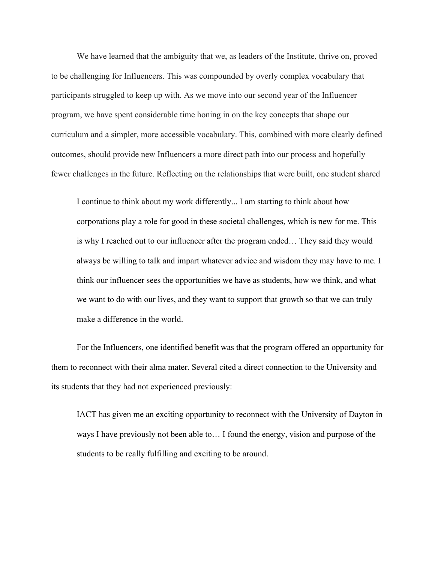We have learned that the ambiguity that we, as leaders of the Institute, thrive on, proved to be challenging for Influencers. This was compounded by overly complex vocabulary that participants struggled to keep up with. As we move into our second year of the Influencer program, we have spent considerable time honing in on the key concepts that shape our curriculum and a simpler, more accessible vocabulary. This, combined with more clearly defined outcomes, should provide new Influencers a more direct path into our process and hopefully fewer challenges in the future. Reflecting on the relationships that were built, one student shared

I continue to think about my work differently... I am starting to think about how corporations play a role for good in these societal challenges, which is new for me. This is why I reached out to our influencer after the program ended… They said they would always be willing to talk and impart whatever advice and wisdom they may have to me. I think our influencer sees the opportunities we have as students, how we think, and what we want to do with our lives, and they want to support that growth so that we can truly make a difference in the world.

For the Influencers, one identified benefit was that the program offered an opportunity for them to reconnect with their alma mater. Several cited a direct connection to the University and its students that they had not experienced previously:

IACT has given me an exciting opportunity to reconnect with the University of Dayton in ways I have previously not been able to… I found the energy, vision and purpose of the students to be really fulfilling and exciting to be around.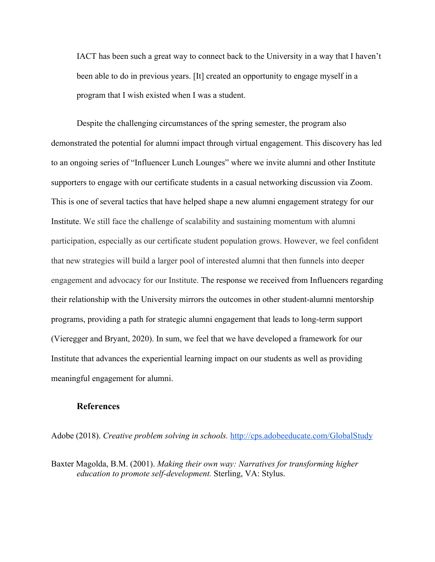IACT has been such a great way to connect back to the University in a way that I haven't been able to do in previous years. [It] created an opportunity to engage myself in a program that I wish existed when I was a student.

Despite the challenging circumstances of the spring semester, the program also demonstrated the potential for alumni impact through virtual engagement. This discovery has led to an ongoing series of "Influencer Lunch Lounges" where we invite alumni and other Institute supporters to engage with our certificate students in a casual networking discussion via Zoom. This is one of several tactics that have helped shape a new alumni engagement strategy for our Institute. We still face the challenge of scalability and sustaining momentum with alumni participation, especially as our certificate student population grows. However, we feel confident that new strategies will build a larger pool of interested alumni that then funnels into deeper engagement and advocacy for our Institute. The response we received from Influencers regarding their relationship with the University mirrors the outcomes in other student-alumni mentorship programs, providing a path for strategic alumni engagement that leads to long-term support (Vieregger and Bryant, 2020). In sum, we feel that we have developed a framework for our Institute that advances the experiential learning impact on our students as well as providing meaningful engagement for alumni.

# **References**

Adobe (2018). *Creative problem solving in schools.* <http://cps.adobeeducate.com/GlobalStudy>

Baxter Magolda, B.M. (2001). *Making their own way: Narratives for transforming higher education to promote self-development.* Sterling, VA: Stylus.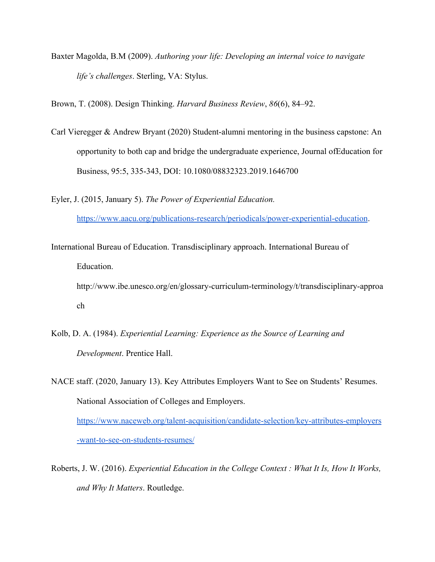Baxter Magolda, B.M (2009). *Authoring your life: Developing an internal voice to navigate life's challenges*. Sterling, VA: Stylus.

Brown, T. (2008). Design Thinking. *Harvard Business Review*, *86*(6), 84–92.

- Carl Vieregger & Andrew Bryant (2020) Student-alumni mentoring in the business capstone: An opportunity to both cap and bridge the undergraduate experience, Journal ofEducation for Business, 95:5, 335-343, DOI: 10.1080/08832323.2019.1646700
- Eyler, J. (2015, January 5). *The Power of Experiential Education.* [https://www.aacu.org/publications-research/periodicals/power-experiential-education.](https://www.aacu.org/publications-research/periodicals/power-experiential-education)
- International Bureau of Education. Transdisciplinary approach. International Bureau of Education.

http://www.ibe.unesco.org/en/glossary-curriculum-terminology/t/transdisciplinary-approa ch

Kolb, D. A. (1984). *Experiential Learning: Experience as the Source of Learning and Development*. Prentice Hall.

NACE staff. (2020, January 13). Key Attributes Employers Want to See on Students' Resumes. National Association of Colleges and Employers.

[https://www.naceweb.org/talent-acquisition/candidate-selection/key-attributes-employers](https://www.naceweb.org/talent-acquisition/candidate-selection/key-attributes-employers-want-to-see-on-students-resumes/) [-want-to-see-on-students-resumes/](https://www.naceweb.org/talent-acquisition/candidate-selection/key-attributes-employers-want-to-see-on-students-resumes/)

Roberts, J. W. (2016). *Experiential Education in the College Context : What It Is, How It Works, and Why It Matters*. Routledge.